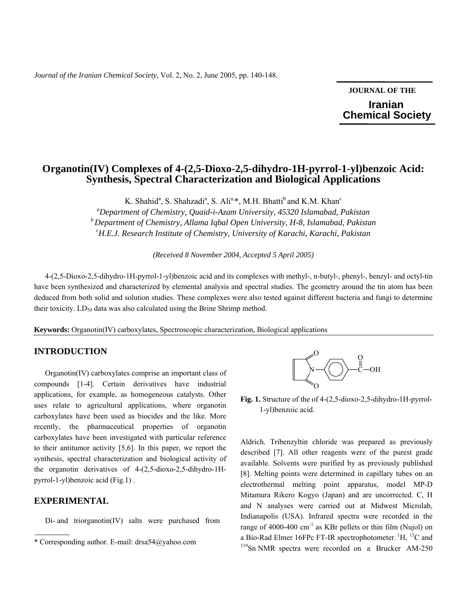*Journal of the Iranian Chemical Society,* Vol. 2, No. 2, June 2005, pp. 140-148.

**JOURNAL OF THE Iranian**  **Chemical Society** 

# **Organotin(IV) Complexes of 4-(2,5-Dioxo-2,5-dihydro-1H-pyrrol-1-yl)benzoic Acid: Synthesis, Spectral Characterization and Biological Applications**

K. Shahid<sup>a</sup>, S. Shahzadi<sup>a</sup>, S. Ali<sup>a,\*</sup>, M.H. Bhatti<sup>b</sup> and K.M. Khan<sup>c</sup> *a Department of Chemistry, Quaid-i-Azam University, 45320 Islamabad, Pakistan* 

*<sup>b</sup> Department of Chemistry, Allama Iqbal Open University, H-8, Islamabad, Pakistan c H.E.J. Research Institute of Chemistry, University of Karachi, Karachi, Pakistan* 

*(Received 8 November 2004, Accepted 5 April 2005)* 

4-(2,5-Dioxo-2,5-dihydro-1H-pyrrol-1-yl)benzoic acid and its complexes with methyl-, n-butyl-, phenyl-, benzyl- and octyl-tin have been synthesized and characterized by elemental analysis and spectral studies. The geometry around the tin atom has been deduced from both solid and solution studies. These complexes were also tested against different bacteria and fungi to determine their toxicity.  $LD_{50}$  data was also calculated using the Brine Shrimp method.

**Keywords:** Organotin(IV) carboxylates, Spectroscopic characterization, Biological applications

### **INTRODUCTION**

 Organotin(IV) carboxylates comprise an important class of compounds [1-4]. Certain derivatives have industrial applications, for example, as homogeneous catalysts. Other uses relate to agricultural applications, where organotin carboxylates have been used as biocides and the like. More recently, the pharmaceutical properties of organotin carboxylates have been investigated with particular reference to their antitumor activity [5,6]. In this paper, we report the synthesis, spectral characterization and biological activity of the organotin derivatives of 4-(2,5-dioxo-2,5-dihydro-1Hpyrrol-1-yl)benzoic acid (Fig.1) .

### **EXPERIMENTAL**

Di- and triorganotin(IV) salts were purchased from



**Fig. 1.** Structure of the of 4-(2,5-dioxo-2,5-dihydro-1H-pyrrol- 1-yl)benzoic acid.

Aldrich. Tribenzyltin chloride was prepared as previously described [7]. All other reagents were of the purest grade available. Solvents were purified by as previously published [8]. Melting points were determined in capillary tubes on an electrothermal melting point apparatus, model MP-D Mitamura Rikero Kogyo (Japan) and are uncorrected. C, H and N analyses were carried out at Midwest Microlab, Indianapolis (USA). Infrared spectra were recorded in the range of 4000-400  $\text{cm}^{-1}$  as KBr pellets or thin film (Nujol) on a Bio-Rad Elmer 16FPc FT-IR spectrophotometer.  ${}^{1}H$ ,  ${}^{13}C$  and  ${}^{119}Sn$  NMR spectra were recorded on a Brucker AM-250

<sup>\*</sup> Corresponding author. E-mail: drsa54@yahoo.com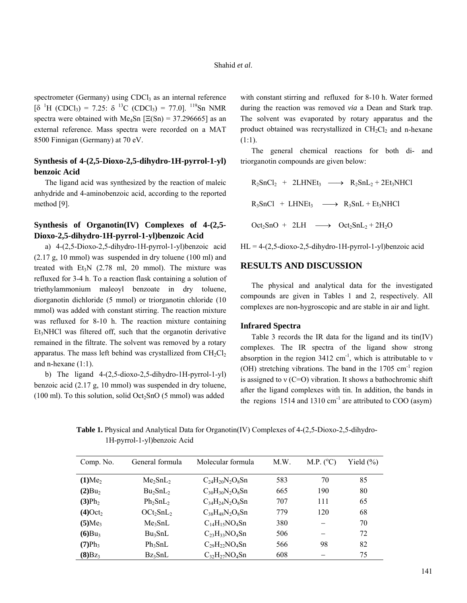spectrometer (Germany) using  $CDCl<sub>3</sub>$  as an internal reference  $[\delta$ <sup>1</sup>H (CDCl<sub>3</sub>) = 7.25:  $\delta$ <sup>13</sup>C (CDCl<sub>3</sub>) = 77.0].<sup>119</sup>Sn NMR spectra were obtained with Me<sub>4</sub>Sn  $[E(Sn) = 37.296665]$  as an external reference. Mass spectra were recorded on a MAT 8500 Finnigan (Germany) at 70 eV.

## **Synthesis of 4-(2,5-Dioxo-2,5-dihydro-1H-pyrrol-1-yl) benzoic Acid**

 The ligand acid was synthesized by the reaction of maleic anhydride and 4-aminobenzoic acid, according to the reported method [9].

## **Synthesis of Organotin(IV) Complexes of 4-(2,5- Dioxo-2,5-dihydro-1H-pyrrol-1-yl)benzoic Acid**

 a) 4-(2,5-Dioxo-2,5-dihydro-1H-pyrrol-1-yl)benzoic acid (2.17 g, 10 mmol) was suspended in dry toluene (100 ml) and treated with  $Et_3N$  (2.78 ml, 20 mmol). The mixture was refluxed for 3-4 h. To a reaction flask containing a solution of triethylammonium maleoyl benzoate in dry toluene, diorganotin dichloride (5 mmol) or triorganotin chloride (10 mmol) was added with constant stirring. The reaction mixture was refluxed for 8-10 h. The reaction mixture containing Et3NHCl was filtered off, such that the organotin derivative remained in the filtrate. The solvent was removed by a rotary apparatus. The mass left behind was crystallized from  $CH_2Cl_2$ and n-hexane (1:1).

 b) The ligand 4-(2,5-dioxo-2,5-dihydro-1H-pyrrol-1-yl) benzoic acid (2.17 g, 10 mmol) was suspended in dry toluene,  $(100 \text{ ml})$ . To this solution, solid Oct<sub>2</sub>SnO (5 mmol) was added

with constant stirring and refluxed for 8-10 h. Water formed during the reaction was removed *via* a Dean and Stark trap. The solvent was evaporated by rotary apparatus and the product obtained was recrystallized in  $CH<sub>2</sub>Cl<sub>2</sub>$  and n-hexane (1:1).

 The general chemical reactions for both di- and triorganotin compounds are given below:

$$
R_2SnCl_2 + 2LHNEt_3 \longrightarrow R_2SnL_2 + 2Et_3NHCI
$$
  
\n
$$
R_3SnCl + LHNEt_3 \longrightarrow R_3SnL + Et_3NHCI
$$
  
\n
$$
Oct_2SnO + 2LH \longrightarrow Oct_2SnL_2 + 2H_2O
$$

 $HL = 4-(2,5-\text{dioxo-2},5-\text{dihydro-1H-pyrrol-1-yl})$ benzoic acid

### **RESULTS AND DISCUSSION**

 The physical and analytical data for the investigated compounds are given in Tables 1 and 2, respectively. All complexes are non-hygroscopic and are stable in air and light.

### **Infrared Spectra**

 Table 3 records the IR data for the ligand and its tin(IV) complexes. The IR spectra of the ligand show strong absorption in the region  $3412 \text{ cm}^{-1}$ , which is attributable to v (OH) stretching vibrations. The band in the  $1705 \text{ cm}^{-1}$  region is assigned to  $v(C=O)$  vibration. It shows a bathochromic shift after the ligand complexes with tin. In addition, the bands in the regions  $1514$  and  $1310 \text{ cm}^{-1}$  are attributed to COO (asym)

 **Table 1.** Physical and Analytical Data for Organotin(IV) Complexes of 4-(2,5-Dioxo-2,5-dihydro- 1H-pyrrol-1-yl)benzoic Acid

| Comp. No.              | General formula                  | Molecular formula      | M.W. | M.P. (°C) | Yield $(\%)$ |
|------------------------|----------------------------------|------------------------|------|-----------|--------------|
| $(1)$ Me <sub>2</sub>  | Me <sub>2</sub> SnL <sub>2</sub> | $C_{24}H_{20}N_2O_8Sn$ | 583  | 70        | 85           |
| (2)Bu <sub>2</sub>     | $Bu_2SnL_2$                      | $C_{30}H_{30}N_2O_8Sn$ | 665  | 190       | 80           |
| (3)Ph <sub>2</sub>     | $Ph_2SnL_2$                      | $C_{34}H_{24}N_2O_8Sn$ | 707  | 111       | 65           |
| $(4)$ Oct <sub>2</sub> | $OCt_2ShL_2$                     | $C_{38}H_{48}N_2O_8Sn$ | 779  | 120       | 68           |
| (5)Me <sub>3</sub>     | Me <sub>3</sub> SnL              | $C_{14}H_{15}NO_4Sn$   | 380  |           | 70           |
| $(6)Bu_3$              | $Bu_3SnL$                        | $C_{23}H_{33}NO_4Sn$   | 506  |           | 72           |
| $(7)Ph_3$              | $Ph_3SnL$                        | $C_{29}H_{22}NO_4Sn$   | 566  | 98        | 82           |
| $(8)$ Bz <sub>3</sub>  | $Bz_3SnL$                        | $C_{32}H_{27}NO_4Sn$   | 608  |           | 75           |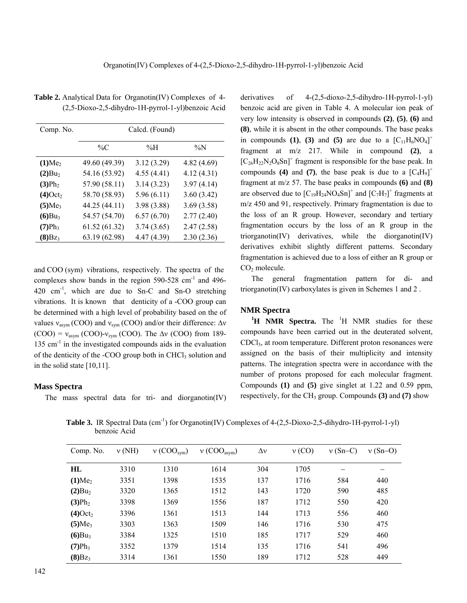| Comp. No.              | Calcd. (Found) |             |            |  |  |  |  |  |  |
|------------------------|----------------|-------------|------------|--|--|--|--|--|--|
|                        | $\%C$          | % $H$       | $\%N$      |  |  |  |  |  |  |
| (1)Me <sub>2</sub>     | 49.60 (49.39)  | 3.12(3.29)  | 4.82(4.69) |  |  |  |  |  |  |
| $(2)Bu_2$              | 54.16 (53.92)  | 4.55(4.41)  | 4.12(4.31) |  |  |  |  |  |  |
| (3)Ph <sub>2</sub>     | 57.90 (58.11)  | 3.14(3.23)  | 3.97(4.14) |  |  |  |  |  |  |
| $(4)$ Oct <sub>2</sub> | 58.70 (58.93)  | 5.96(6.11)  | 3.60(3.42) |  |  |  |  |  |  |
| $(5)$ Me <sub>3</sub>  | 44.25 (44.11)  | 3.98(3.88)  | 3.69(3.58) |  |  |  |  |  |  |
| $(6)Bu_3$              | 54.57 (54.70)  | 6.57(6.70)  | 2.77(2.40) |  |  |  |  |  |  |
| $(7)Ph_3$              | 61.52(61.32)   | 3.74(3.65)  | 2.47(2.58) |  |  |  |  |  |  |
| $(8)B_{Z_3}$           | 63.19 (62.98)  | 4.47 (4.39) | 2.30(2.36) |  |  |  |  |  |  |

**Table 2.** Analytical Data for Organotin(IV) Complexes of 4- (2,5-Dioxo-2,5-dihydro-1H-pyrrol-1-yl)benzoic Acid

and COO (sym) vibrations, respectively. The spectra of the complexes show bands in the region  $590-528$  cm<sup>-1</sup> and  $496 420 \text{ cm}^{-1}$ , which are due to Sn-C and Sn-O stretching vibrations. It is known that denticity of a -COO group can be determined with a high level of probability based on the of values  $v_{\text{asym}}$  (COO) and  $v_{\text{sym}}$  (COO) and/or their difference:  $\Delta v$  $(COO) = v_{asym} (COO) - v_{zym} (COO)$ . The  $\Delta v$  (COO) from 189- $135 \text{ cm}^{-1}$  in the investigated compounds aids in the evaluation of the denticity of the -COO group both in CHCl<sub>3</sub> solution and in the solid state [10,11].

### **Mass Spectra**

The mass spectral data for tri- and diorganotin(IV)

derivatives of 4-(2,5-dioxo-2,5-dihydro-1H-pyrrol-1-yl) benzoic acid are given in Table 4. A molecular ion peak of very low intensity is observed in compounds **(2)**, **(5)**, **(6)** and **(8)**, while it is absent in the other compounds. The base peaks in compounds (1), (3) and (5) are due to a  $[C_{11}H_6NO_4]^+$ fragment at m/z 217. While in compound **(2)***,* a  $[C_{26}H_{22}N_2O_8Sn]^+$  fragment is responsible for the base peak. In compounds (4) and (7), the base peak is due to a  $[C_4H_9]^+$ fragment at m/z 57. The base peaks in compounds **(6)** and **(8)** are observed due to  $[C_{19}H_{24}NO_4Sn]^+$  and  $[C_7H_7]^+$  fragments at m/z 450 and 91, respectively. Primary fragmentation is due to the loss of an R group. However, secondary and tertiary fragmentation occurs by the loss of an R group in the triorganotin(IV) derivatives, while the diorganotin(IV) derivatives exhibit slightly different patterns. Secondary fragmentation is achieved due to a loss of either an R group or CO<sub>2</sub> molecule.

 The general fragmentation pattern for di- and triorganotin(IV) carboxylates is given in Schemes 1 and 2 .

### **NMR Spectra**

<sup>1</sup>H NMR Spectra. The <sup>1</sup>H NMR studies for these compounds have been carried out in the deuterated solvent, CDCl3, at room temperature. Different proton resonances were assigned on the basis of their multiplicity and intensity patterns. The integration spectra were in accordance with the number of protons proposed for each molecular fragment. Compounds **(1)** and **(5)** give singlet at 1.22 and 0.59 ppm, respectively, for the CH<sub>3</sub> group. Compounds **(3)** and **(7)** show

**Table 3.** IR Spectral Data (cm<sup>-1</sup>) for Organotin(IV) Complexes of 4-(2,5-Dioxo-2,5-dihydro-1H-pyrrol-1-yl) benzoic Acid

| Comp. No.              | v(NH) | v (COO <sub>sym</sub> ) | v (COO <sub>asym</sub> ) | $\Delta v$ | v(CO) | $v(Sn-C)$ | $v(Sn-O)$ |
|------------------------|-------|-------------------------|--------------------------|------------|-------|-----------|-----------|
| HL                     | 3310  | 1310                    | 1614                     | 304        | 1705  |           |           |
| (1)Me <sub>2</sub>     | 3351  | 1398                    | 1535                     | 137        | 1716  | 584       | 440       |
| (2)Bu <sub>2</sub>     | 3320  | 1365                    | 1512                     | 143        | 1720  | 590       | 485       |
| (3)Ph <sub>2</sub>     | 3398  | 1369                    | 1556                     | 187        | 1712  | 550       | 420       |
| $(4)$ Oct <sub>2</sub> | 3396  | 1361                    | 1513                     | 144        | 1713  | 556       | 460       |
| (5)Me <sub>3</sub>     | 3303  | 1363                    | 1509                     | 146        | 1716  | 530       | 475       |
| $(6)Bu_3$              | 3384  | 1325                    | 1510                     | 185        | 1717  | 529       | 460       |
| $(7)Ph_3$              | 3352  | 1379                    | 1514                     | 135        | 1716  | 541       | 496       |
| $(8)Bz_3$              | 3314  | 1361                    | 1550                     | 189        | 1712  | 528       | 449       |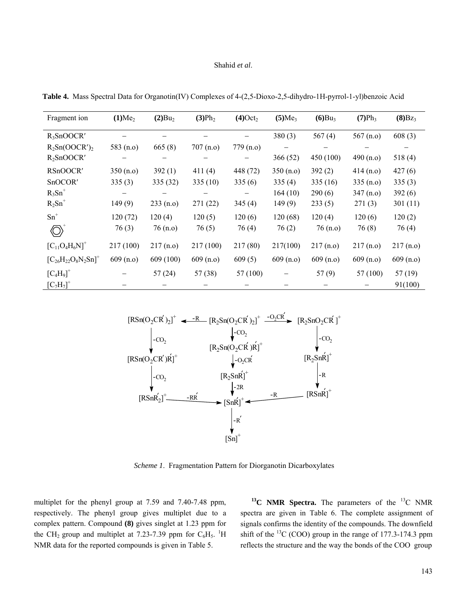#### Shahid *et al*.

| Fragment ion                     | (1)Me <sub>2</sub> | $(2)Bu_2$ | (3)Ph <sub>2</sub> | $(4)$ Oct <sub>2</sub> | (5)Me <sub>3</sub> | $(6)Bu_3$ | (7)Ph <sub>3</sub> | $(8)Bz_3$ |
|----------------------------------|--------------------|-----------|--------------------|------------------------|--------------------|-----------|--------------------|-----------|
| $R_3SnOOCR'$                     |                    |           |                    |                        | 380(3)             | 567 $(4)$ | 567(n.o)           | 608(3)    |
| $R_2Sn(OOCR')_2$                 | 583 $(n.o)$        | 665(8)    | 707(n.o)           | 779 (n.o)              |                    |           |                    |           |
| $R_2SnOOCR'$                     |                    |           |                    |                        | 366(52)            | 450 (100) | 490(n.o)           | 518(4)    |
| RSnOOCR'                         | 350(n.o)           | 392(1)    | 411(4)             | 448 (72)               | 350(n.o)           | 392(2)    | 414(n.o)           | 427(6)    |
| SnOCOR'                          | 335(3)             | 335 (32)  | 335(10)            | 335(6)                 | 335(4)             | 335(16)   | 335(n.0)           | 335(3)    |
| $R_3Sn^+$                        |                    |           |                    |                        | 164(10)            | 290(6)    | 347(n.o)           | 392(6)    |
| $R_2Sn^+$                        | 149(9)             | 233(n.o)  | 271(22)            | 345(4)                 | 149(9)             | 233(5)    | 271(3)             | 301(11)   |
| $\mathrm{Sn}^+$                  | 120(72)            | 120(4)    | 120(5)             | 120(6)                 | 120(68)            | 120(4)    | 120(6)             | 120(2)    |
| $\langle \bigcirc \rangle$       | 76(3)              | 76(n.0)   | 76(5)              | 76(4)                  | 76(2)              | 76(n.0)   | 76(8)              | 76(4)     |
| $[C_{11}O_4H_6N]^+$              | 217 (100)          | 217(n.0)  | 217(100)           | 217(80)                | 217(100)           | 217(n.0)  | 217(n.0)           | 217(n.0)  |
| $[C_{26}H_{22}O_8N_2Sn]^+$       | 609(n.o)           | 609 (100) | 609(n.o)           | 609(5)                 | 609(n.o)           | 609(n.o)  | 609(n.o)           | 609(n.o)  |
| $[C_4H_9]^+$                     |                    | 57(24)    | 57(38)             | 57 (100)               |                    | 57(9)     | 57 (100)           | 57(19)    |
| ${[\textrm{C}_7\textrm{H}_7]}^+$ |                    |           |                    |                        |                    |           |                    | 91(100)   |

 **Table 4.** Mass Spectral Data for Organotin(IV) Complexes of 4-(2,5-Dioxo-2,5-dihydro-1H-pyrrol-1-yl)benzoic Acid



*Scheme 1*. Fragmentation Pattern for Diorganotin Dicarboxylates

multiplet for the phenyl group at 7.59 and 7.40-7.48 ppm, respectively. The phenyl group gives multiplet due to a complex pattern. Compound **(8)** gives singlet at 1.23 ppm for the CH<sub>2</sub> group and multiplet at 7.23-7.39 ppm for  $C_6H_5$ . <sup>1</sup>H NMR data for the reported compounds is given in Table 5.

<sup>13</sup>C NMR Spectra. The parameters of the <sup>13</sup>C NMR spectra are given in Table 6. The complete assignment of signals confirms the identity of the compounds. The downfield shift of the  $^{13}$ C (COO) group in the range of 177.3-174.3 ppm reflects the structure and the way the bonds of the COO group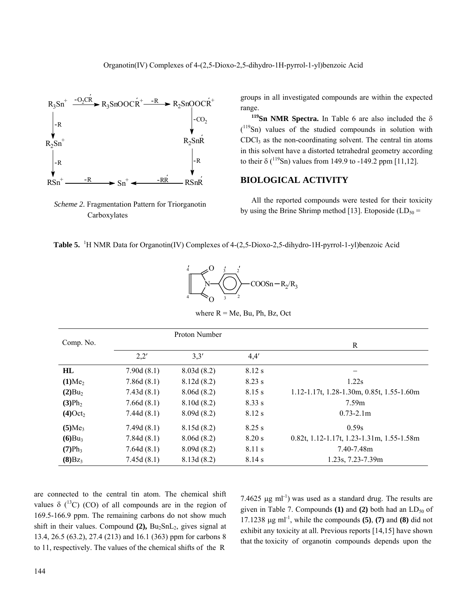

*Scheme 2.* Fragmentation Pattern for Triorganotin Carboxylates

groups in all investigated compounds are within the expected range.

**<sup>119</sup>Sn NMR Spectra.** In Table 6 are also included the  $\delta$ ( 119Sn) values of the studied compounds in solution with CDCl3 as the non-coordinating solvent. The central tin atoms in this solvent have a distorted tetrahedral geometry according to their  $\delta$  (<sup>119</sup>Sn) values from 149.9 to -149.2 ppm [11,12].

# **BIOLOGICAL ACTIVITY**

 All the reported compounds were tested for their toxicity by using the Brine Shrimp method [13]. Etoposide ( $LD_{50}$  =

| Table 5. <sup>1</sup> H NMR Data for Organotin(IV) Complexes of 4-(2,5-Dioxo-2,5-dihydro-1H-pyrrol-1-yl)benzoic Acid |
|----------------------------------------------------------------------------------------------------------------------|
|----------------------------------------------------------------------------------------------------------------------|



where  $R = Me$ , Bu, Ph, Bz, Oct

|                        |            | Proton Number |          |                                                |
|------------------------|------------|---------------|----------|------------------------------------------------|
| Comp. No.              |            |               |          | R                                              |
|                        | 2,2'       | 3,3'          | 4,4'     |                                                |
| HL                     | 7.90d(8.1) | 8.03d(8.2)    | 8.12 s   |                                                |
| (1)Me <sub>2</sub>     | 7.86d(8.1) | 8.12d(8.2)    | $8.23$ s | 1.22s                                          |
| $(2)Bu_2$              | 7.43d(8.1) | 8.06d(8.2)    | 8.15 s   | $1.12 - 1.17t$ , 1.28-1.30m, 0.85t, 1.55-1.60m |
| (3)Ph <sub>2</sub>     | 7.66d(8.1) | 8.10d(8.2)    | 8.33 s   | 7.59m                                          |
| $(4)$ Oct <sub>2</sub> | 7.44d(8.1) | 8.09d(8.2)    | 8.12 s   | $0.73 - 2.1m$                                  |
| (5)Me <sub>3</sub>     | 7.49d(8.1) | 8.15d(8.2)    | $8.25$ s | 0.59s                                          |
| $(6)Bu_3$              | 7.84d(8.1) | 8.06d(8.2)    | 8.20 s   | $0.82t, 1.12-1.17t, 1.23-1.31m, 1.55-1.58m$    |
| $(7)Ph_3$              | 7.64d(8.1) | 8.09d(8.2)    | 8.11 s   | 7.40-7.48m                                     |
| $(8)Bz_3$              | 7.45d(8.1) | 8.13d(8.2)    | 8.14 s   | 1.23s, 7.23-7.39m                              |

are connected to the central tin atom. The chemical shift values  $\delta$  (<sup>13</sup>C) (CO) of all compounds are in the region of 169.5-166.9 ppm. The remaining carbons do not show much shift in their values. Compound (2), Bu<sub>2</sub>SnL<sub>2</sub>, gives signal at 13.4, 26.5 (63.2), 27.4 (213) and 16.1 (363) ppm for carbons 8 to 11, respectively. The values of the chemical shifts of the R

7.4625  $\mu$ g ml<sup>-1</sup>) was used as a standard drug. The results are given in Table 7. Compounds **(1)** and **(2)** both had an  $LD_{50}$  of 17.1238  $\mu$ g ml<sup>-1</sup>, while the compounds **(5)**, **(7)** and **(8)** did not exhibit any toxicity at all. Previous reports [14,15] have shown that the toxicity of organotin compounds depends upon the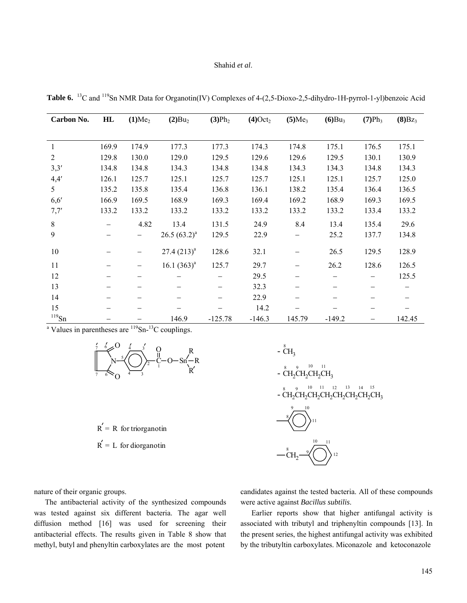#### Shahid *et al*.

| Carbon No.     | HL    | (1)Me <sub>2</sub> | (2)Bu <sub>2</sub> | (3)Ph <sub>2</sub> | $(4)$ Oct <sub>2</sub> | (5)Me <sub>3</sub> | (6)Bu <sub>3</sub> | (7)Ph <sub>3</sub> | $(8)Bz_3$ |
|----------------|-------|--------------------|--------------------|--------------------|------------------------|--------------------|--------------------|--------------------|-----------|
|                |       |                    |                    |                    |                        |                    |                    |                    |           |
| 1              | 169.9 | 174.9              | 177.3              | 177.3              | 174.3                  | 174.8              | 175.1              | 176.5              | 175.1     |
| $\overline{2}$ | 129.8 | 130.0              | 129.0              | 129.5              | 129.6                  | 129.6              | 129.5              | 130.1              | 130.9     |
| 3,3'           | 134.8 | 134.8              | 134.3              | 134.8              | 134.8                  | 134.3              | 134.3              | 134.8              | 134.3     |
| 4,4'           | 126.1 | 125.7              | 125.1              | 125.7              | 125.7                  | 125.1              | 125.1              | 125.7              | 125.0     |
| 5              | 135.2 | 135.8              | 135.4              | 136.8              | 136.1                  | 138.2              | 135.4              | 136.4              | 136.5     |
| 6, 6'          | 166.9 | 169.5              | 168.9              | 169.3              | 169.4                  | 169.2              | 168.9              | 169.3              | 169.5     |
| 7,7'           | 133.2 | 133.2              | 133.2              | 133.2              | 133.2                  | 133.2              | 133.2              | 133.4              | 133.2     |
| 8              |       | 4.82               | 13.4               | 131.5              | 24.9                   | 8.4                | 13.4               | 135.4              | 29.6      |
| 9              |       | —                  | $26.5(63.2)^{a}$   | 129.5              | 22.9                   |                    | 25.2               | 137.7              | 134.8     |
| 10             |       | —                  | $27.4(213)^{a}$    | 128.6              | 32.1                   | -                  | 26.5               | 129.5              | 128.9     |
| 11             |       |                    | 16.1 $(363)^a$     | 125.7              | 29.7                   |                    | 26.2               | 128.6              | 126.5     |
| 12             |       | -                  |                    |                    | 29.5                   |                    |                    |                    | 125.5     |
| 13             |       | -                  |                    |                    | 32.3                   |                    |                    |                    |           |
| 14             |       |                    |                    |                    | 22.9                   |                    |                    |                    |           |
| 15             |       |                    |                    |                    | 14.2                   |                    |                    |                    |           |
| $^{119}$ Sn    |       |                    | 146.9              | $-125.78$          | $-146.3$               | 145.79             | $-149.2$           |                    | 142.45    |

**Table 6.** 13C and 119Sn NMR Data for Organotin(IV) Complexes of 4-(2,5-Dioxo-2,5-dihydro-1H-pyrrol-1-yl)benzoic Acid

<sup>a</sup> Values in parentheses are  $119$ Sn- $13$ C couplings.



 $R' = R$  for triorganotin

 $R' = L$  for diorganotin

 $\text{CH}_2^8$   $\text{CH}_2\text{CH}_2\text{CH}_2\text{CH}_2\text{CH}_2\text{CH}_2\text{CH}_2\text{CH}_2\text{CH}_3$ -  $\text{CH}_2\text{CH}_2\text{CH}_2\text{CH}_3$ 11 10 10 9 9 8 8 12 11  $\rm \overset{8}{CH}_3$  $CH<sub>2</sub>$ 

nature of their organic groups.

 The antibacterial activity of the synthesized compounds was tested against six different bacteria. The agar well diffusion method [16] was used for screening their antibacterial effects. The results given in Table 8 show that methyl, butyl and phenyltin carboxylates are the most potent

candidates against the tested bacteria. All of these compounds were active against *Bacillus subtilis*.

 Earlier reports show that higher antifungal activity is associated with tributyl and triphenyltin compounds [13]. In the present series, the highest antifungal activity was exhibited by the tributyltin carboxylates. Miconazole and ketoconazole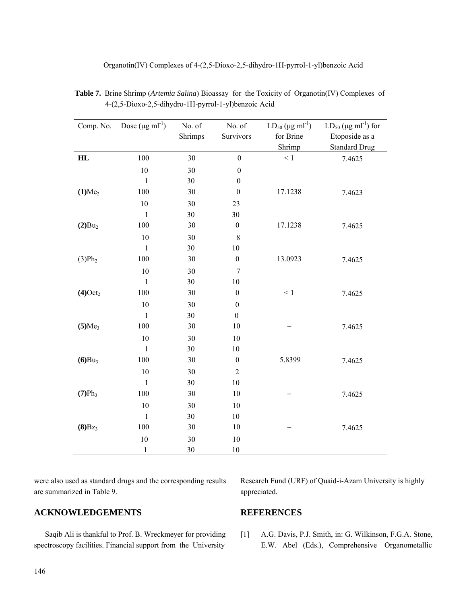| Comp. No.           | Dose $(\mu g \text{ ml}^{-1})$ | No. of<br>Shrimps | No. of<br>Survivors | $LD_{50}$ (µg ml <sup>-1</sup> )<br>for Brine<br>Shrimp | $LD_{50}$ (µg ml <sup>-1</sup> ) for<br>Etoposide as a<br><b>Standard Drug</b> |
|---------------------|--------------------------------|-------------------|---------------------|---------------------------------------------------------|--------------------------------------------------------------------------------|
| HL                  | 100                            | 30                | $\boldsymbol{0}$    | $\leq 1$                                                | 7.4625                                                                         |
|                     | $10\,$                         | 30                | $\boldsymbol{0}$    |                                                         |                                                                                |
|                     | $\,1\,$                        | 30                | $\boldsymbol{0}$    |                                                         |                                                                                |
| (1)Me <sub>2</sub>  | 100                            | 30                | $\boldsymbol{0}$    | 17.1238                                                 | 7.4623                                                                         |
|                     | 10                             | 30                | 23                  |                                                         |                                                                                |
|                     | $\mathbf{1}$                   | 30                | 30                  |                                                         |                                                                                |
| $(2)Bu_2$           | 100                            | 30                | $\boldsymbol{0}$    | 17.1238                                                 | 7.4625                                                                         |
|                     | $10\,$                         | 30                | $\,$ $\,$           |                                                         |                                                                                |
|                     | $\mathbf{1}$                   | 30                | 10                  |                                                         |                                                                                |
| (3)Ph <sub>2</sub>  | 100                            | $30\,$            | $\boldsymbol{0}$    | 13.0923                                                 | 7.4625                                                                         |
|                     | $10\,$                         | 30                | $\tau$              |                                                         |                                                                                |
|                     | $\mathbf{1}$                   | $30\,$            | 10                  |                                                         |                                                                                |
| (4)Oct <sub>2</sub> | 100                            | 30                | $\boldsymbol{0}$    | $\leq 1$                                                | 7.4625                                                                         |
|                     | $10\,$                         | 30                | $\boldsymbol{0}$    |                                                         |                                                                                |
|                     | $\,1\,$                        | 30                | $\boldsymbol{0}$    |                                                         |                                                                                |
| (5)Me <sub>3</sub>  | 100                            | 30                | 10                  |                                                         | 7.4625                                                                         |
|                     | 10                             | 30                | 10                  |                                                         |                                                                                |
|                     | $\mathbf{1}$                   | $30\,$            | 10                  |                                                         |                                                                                |
| (6)Bu <sub>3</sub>  | 100                            | $30\,$            | $\boldsymbol{0}$    | 5.8399                                                  | 7.4625                                                                         |
|                     | 10                             | 30                | $\overline{2}$      |                                                         |                                                                                |
|                     | $\mathbf{1}$                   | 30                | 10                  |                                                         |                                                                                |
| (7)Ph <sub>3</sub>  | 100                            | 30                | 10                  |                                                         | 7.4625                                                                         |
|                     | $10\,$                         | 30                | 10                  |                                                         |                                                                                |
|                     | $\,1\,$                        | 30                | 10                  |                                                         |                                                                                |
| $(8)Bz_3$           | 100                            | 30                | 10                  |                                                         | 7.4625                                                                         |
|                     | 10                             | $30\,$            | 10                  |                                                         |                                                                                |
|                     | $\mathbf{1}$                   | 30                | 10                  |                                                         |                                                                                |

 **Table 7.** Brine Shrimp (*Artemia Salina*) Bioassay for the Toxicity of Organotin(IV) Complexes of 4-(2,5-Dioxo-2,5-dihydro-1H-pyrrol-1-yl)benzoic Acid

Organotin(IV) Complexes of 4-(2,5-Dioxo-2,5-dihydro-1H-pyrrol-1-yl)benzoic Acid

were also used as standard drugs and the corresponding results are summarized in Table 9.

# **ACKNOWLEDGEMENTS**

 Saqib Ali is thankful to Prof. B. Wreckmeyer for providing spectroscopy facilities. Financial support from the University

Research Fund (URF) of Quaid-i-Azam University is highly appreciated.

## **REFERENCES**

[1] A.G. Davis, P.J. Smith, in: G. Wilkinson, F.G.A. Stone, E.W. Abel (Eds.), Comprehensive Organometallic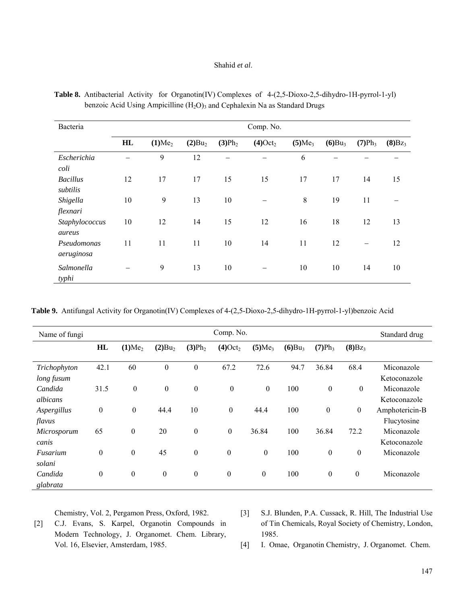#### Shahid *et al*.

| Bacteria                    | Comp. No. |                    |                    |                    |                        |                    |           |           |           |  |
|-----------------------------|-----------|--------------------|--------------------|--------------------|------------------------|--------------------|-----------|-----------|-----------|--|
|                             | HL        | (1)Me <sub>2</sub> | (2)Bu <sub>2</sub> | (3)Ph <sub>2</sub> | $(4)$ Oct <sub>2</sub> | (5)Me <sub>3</sub> | $(6)Bu_3$ | $(7)Ph_3$ | $(8)Bz_3$ |  |
| Escherichia<br>coli         |           | 9                  | 12                 |                    |                        | 6                  |           |           |           |  |
| <b>Bacillus</b><br>subtilis | 12        | 17                 | 17                 | 15                 | 15                     | 17                 | 17        | 14        | 15        |  |
| Shigella<br>flexnari        | 10        | 9                  | 13                 | 10                 |                        | $\,8\,$            | 19        | 11        |           |  |
| Staphylococcus<br>aureus    | 10        | 12                 | 14                 | 15                 | 12                     | 16                 | 18        | 12        | 13        |  |
| Pseudomonas<br>aeruginosa   | 11        | 11                 | 11                 | 10                 | 14                     | 11                 | 12        |           | 12        |  |
| Salmonella<br>typhi         |           | 9                  | 13                 | 10                 |                        | 10                 | 10        | 14        | 10        |  |

 **Table 8.** Antibacterial Activity for Organotin(IV) Complexes of 4-(2,5-Dioxo-2,5-dihydro-1H-pyrrol-1-yl) benzoic Acid Using Ampicilline  $(H_2O)_3$  and Cephalexin Na as Standard Drugs

 **Table 9.** Antifungal Activity for Organotin(IV) Complexes of 4-(2,5-Dioxo-2,5-dihydro-1H-pyrrol-1-yl)benzoic Acid

| Name of fungi | Comp. No.        |                    |                    |                    |                        |                    |           |                  | Standard drug    |                |
|---------------|------------------|--------------------|--------------------|--------------------|------------------------|--------------------|-----------|------------------|------------------|----------------|
|               | HL               | (1)Me <sub>2</sub> | (2)Bu <sub>2</sub> | (3)Ph <sub>2</sub> | $(4)$ Oct <sub>2</sub> | (5)Me <sub>3</sub> | $(6)Bu_3$ | $(7)Ph_3$        | $(8)Bz_3$        |                |
| Trichophyton  | 42.1             | 60                 | $\boldsymbol{0}$   | $\boldsymbol{0}$   | 67.2                   | 72.6               | 94.7      | 36.84            | 68.4             | Miconazole     |
| long fusum    |                  |                    |                    |                    |                        |                    |           |                  |                  | Ketoconazole   |
| Candida       | 31.5             | $\boldsymbol{0}$   | $\boldsymbol{0}$   | $\boldsymbol{0}$   | $\boldsymbol{0}$       | $\boldsymbol{0}$   | 100       | $\boldsymbol{0}$ | $\boldsymbol{0}$ | Miconazole     |
| albicans      |                  |                    |                    |                    |                        |                    |           |                  |                  | Ketoconazole   |
| Aspergillus   | $\boldsymbol{0}$ | $\boldsymbol{0}$   | 44.4               | 10                 | $\boldsymbol{0}$       | 44.4               | 100       | $\boldsymbol{0}$ | $\boldsymbol{0}$ | Amphotericin-B |
| flavus        |                  |                    |                    |                    |                        |                    |           |                  |                  | Flucytosine    |
| Microsporum   | 65               | $\boldsymbol{0}$   | 20                 | $\boldsymbol{0}$   | $\boldsymbol{0}$       | 36.84              | 100       | 36.84            | 72.2             | Miconazole     |
| canis         |                  |                    |                    |                    |                        |                    |           |                  |                  | Ketoconazole   |
| Fusarium      | $\boldsymbol{0}$ | $\boldsymbol{0}$   | 45                 | $\boldsymbol{0}$   | $\boldsymbol{0}$       | $\boldsymbol{0}$   | 100       | $\boldsymbol{0}$ | $\boldsymbol{0}$ | Miconazole     |
| solani        |                  |                    |                    |                    |                        |                    |           |                  |                  |                |
| Candida       | $\boldsymbol{0}$ | $\boldsymbol{0}$   | $\boldsymbol{0}$   | $\boldsymbol{0}$   | $\boldsymbol{0}$       | $\boldsymbol{0}$   | 100       | $\boldsymbol{0}$ | $\boldsymbol{0}$ | Miconazole     |
| glabrata      |                  |                    |                    |                    |                        |                    |           |                  |                  |                |

Chemistry, Vol. 2, Pergamon Press, Oxford, 1982.

- [2] C.J. Evans, S. Karpel, Organotin Compounds in Modern Technology, J. Organomet. Chem. Library, Vol. 16, Elsevier, Amsterdam, 1985.
- [3] S.J. Blunden, P.A. Cussack, R. Hill, The Industrial Use of Tin Chemicals, Royal Society of Chemistry, London, 1985.

[4] I. Omae, Organotin Chemistry, J. Organomet. Chem.